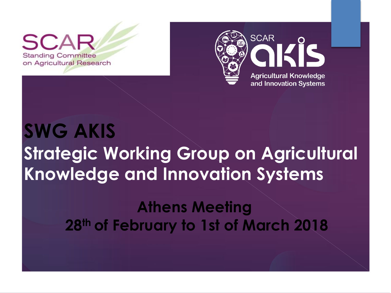**Standing Committee** on Agricultural Research



# **SWG AKIS Strategic Working Group on Agricultural Knowledge and Innovation Systems**

### **Athens Meeting 28th of February to 1st of March 2018**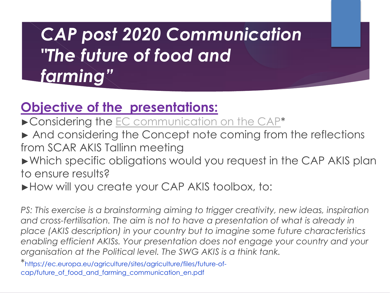## *CAP post 2020 Communication "The future of food and farming"*

#### **Objective of the presentations:**

- ►Considering the EC communication on the CAP\*
- ► And considering the Concept note coming from the reflections from SCAR AKIS Tallinn meeting
- ►Which specific obligations would you request in the CAP AKIS plan to ensure results?
- ► How will you create your CAP AKIS toolbox, to:

*PS: This exercise is a brainstorming aiming to trigger creativity, new ideas, inspiration* and cross-fertilisation. The aim is not to have a presentation of what is already in *place (AKIS description) in your country but to imagine some future characteristics enabling efficient AKISs. Your presentation does not engage your country and your organisation at the Political level. The SWG AKIS is a think tank.*

\*https://ec.europa.eu/agriculture/sites/agriculture/files/future-ofcap/future\_of\_food\_and\_farming\_communication\_en.pdf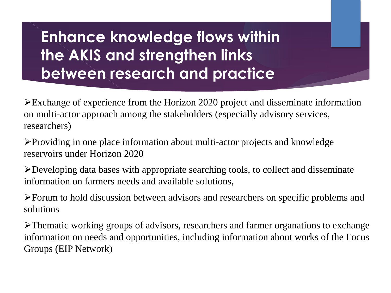### **Enhance knowledge flows within the AKIS and strengthen links between research and practice**

Exchange of experience from the Horizon 2020 project and disseminate information on multi-actor approach among the stakeholders (especially advisory services, researchers)

Providing in one place information about multi-actor projects and knowledge reservoirs under Horizon 2020

Developing data bases with appropriate searching tools, to collect and disseminate information on farmers needs and available solutions,

Forum to hold discussion between advisors and researchers on specific problems and solutions

Thematic working groups of advisors, researchers and farmer organations to exchange information on needs and opportunities, including information about works of the Focus Groups (EIP Network)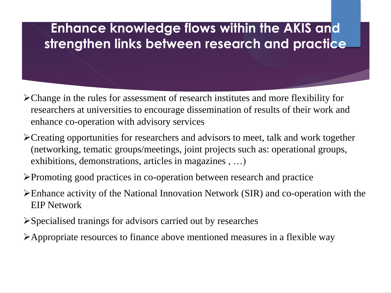#### **Enhance knowledge flows within the AKIS and strengthen links between research and practice**

- Change in the rules for assessment of research institutes and more flexibility for researchers at universities to encourage dissemination of results of their work and enhance co-operation with advisory services
- Creating opportunities for researchers and advisors to meet, talk and work together (networking, tematic groups/meetings, joint projects such as: operational groups, exhibitions, demonstrations, articles in magazines , …)
- Promoting good practices in co-operation between research and practice
- Enhance activity of the National Innovation Network (SIR) and co-operation with the EIP Network
- Specialised tranings for advisors carried out by researches
- Appropriate resources to finance above mentioned measures in a flexible way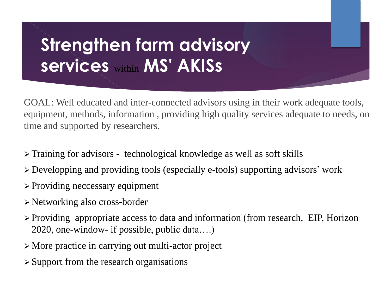## **Strengthen farm advisory services** within **MS' AKISs**

GOAL: Well educated and inter-connected advisors using in their work adequate tools, equipment, methods, information , providing high quality services adequate to needs, on time and supported by researchers.

- Training for advisors technological knowledge as well as soft skills
- Developping and providing tools (especially e-tools) supporting advisors' work
- > Providing neccessary equipment
- Networking also cross-border
- Providing appropriate access to data and information (from research, EIP, Horizon 2020, one-window- if possible, public data….)
- More practice in carrying out multi-actor project
- $\triangleright$  Support from the research organisations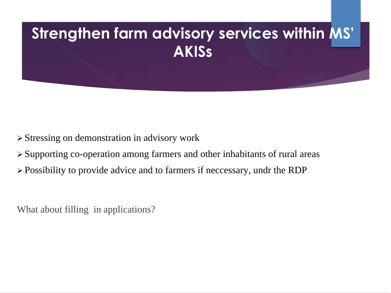### **Strengthen farm advisory services within MS' AKISs**

- Stressing on demonstration in advisory work
- Supporting co-operation among farmers and other inhabitants of rural areas
- Possibility to provide advice and to farmers if neccessary, undr the RDP

What about filling in applications?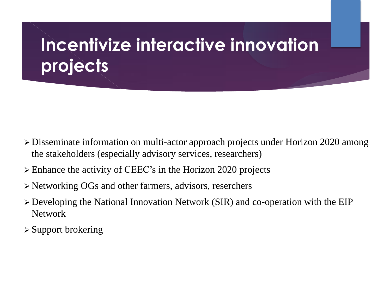## **Incentivize interactive innovation projects**

- Disseminate information on multi-actor approach projects under Horizon 2020 among the stakeholders (especially advisory services, researchers)
- Enhance the activity of CEEC's in the Horizon 2020 projects
- Networking OGs and other farmers, advisors, reserchers
- Developing the National Innovation Network (SIR) and co-operation with the EIP Network
- $\triangleright$  Support brokering